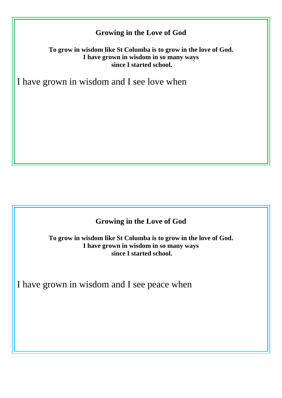**To grow in wisdom like St Columba is to grow in the love of God. I have grown in wisdom in so many ways since I started school.**

I have grown in wisdom and I see love when

### **Growing in the Love of God**

**To grow in wisdom like St Columba is to grow in the love of God. I have grown in wisdom in so many ways since I started school.**

I have grown in wisdom and I see peace when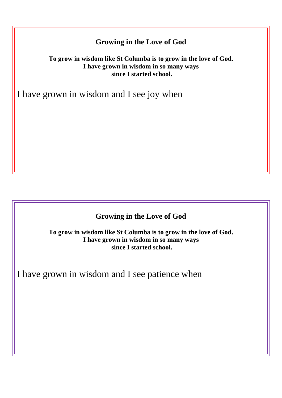#### **To grow in wisdom like St Columba is to grow in the love of God. I have grown in wisdom in so many ways since I started school.**

I have grown in wisdom and I see joy when

### **Growing in the Love of God**

**To grow in wisdom like St Columba is to grow in the love of God. I have grown in wisdom in so many ways since I started school.**

I have grown in wisdom and I see patience when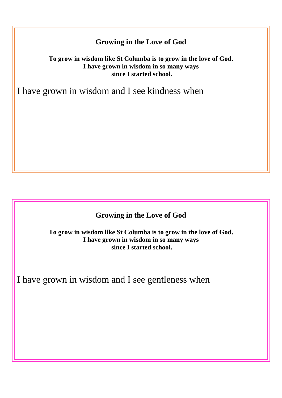#### **To grow in wisdom like St Columba is to grow in the love of God. I have grown in wisdom in so many ways since I started school.**

I have grown in wisdom and I see kindness when

### **Growing in the Love of God**

**To grow in wisdom like St Columba is to grow in the love of God. I have grown in wisdom in so many ways since I started school.**

I have grown in wisdom and I see gentleness when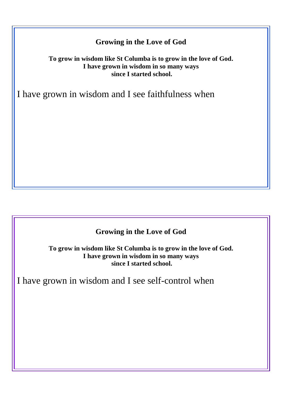#### **To grow in wisdom like St Columba is to grow in the love of God. I have grown in wisdom in so many ways since I started school.**

I have grown in wisdom and I see faithfulness when

### **Growing in the Love of God**

**To grow in wisdom like St Columba is to grow in the love of God. I have grown in wisdom in so many ways since I started school.**

I have grown in wisdom and I see self-control when